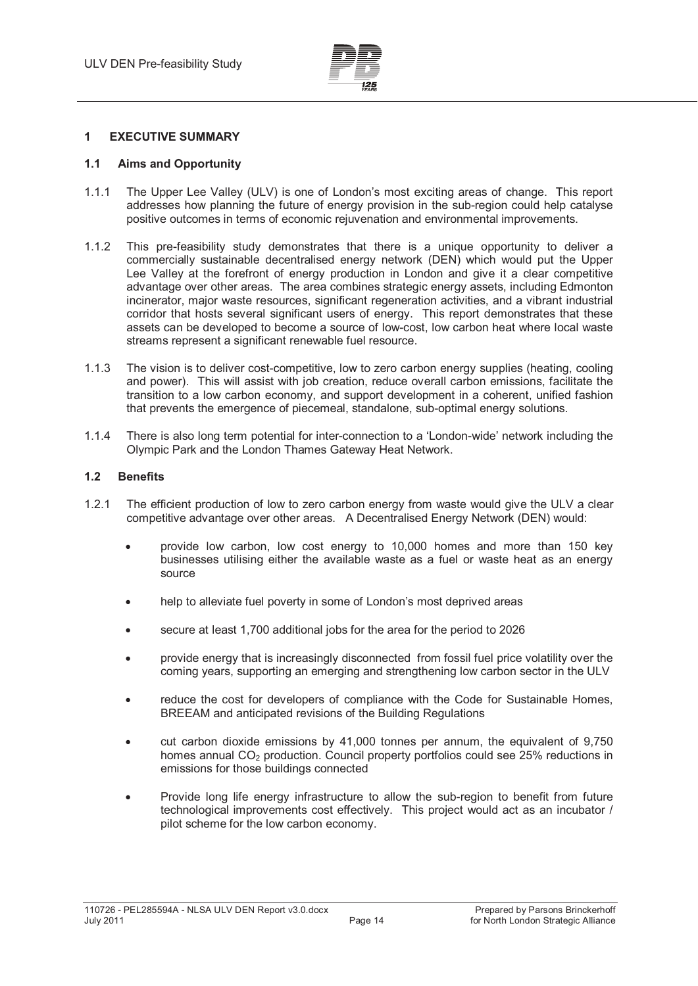

## **1 EXECUTIVE SUMMARY**

### **1.1 Aims and Opportunity**

- 1.1.1 The Upper Lee Valley (ULV) is one of London's most exciting areas of change. This report addresses how planning the future of energy provision in the sub-region could help catalyse positive outcomes in terms of economic rejuvenation and environmental improvements.
- 1.1.2 This pre-feasibility study demonstrates that there is a unique opportunity to deliver a commercially sustainable decentralised energy network (DEN) which would put the Upper Lee Valley at the forefront of energy production in London and give it a clear competitive advantage over other areas. The area combines strategic energy assets, including Edmonton incinerator, major waste resources, significant regeneration activities, and a vibrant industrial corridor that hosts several significant users of energy. This report demonstrates that these assets can be developed to become a source of low-cost, low carbon heat where local waste streams represent a significant renewable fuel resource.
- 1.1.3 The vision is to deliver cost-competitive, low to zero carbon energy supplies (heating, cooling and power). This will assist with job creation, reduce overall carbon emissions, facilitate the transition to a low carbon economy, and support development in a coherent, unified fashion that prevents the emergence of piecemeal, standalone, sub-optimal energy solutions.
- 1.1.4 There is also long term potential for inter-connection to a 'London-wide' network including the Olympic Park and the London Thames Gateway Heat Network.

#### **1.2 Benefits**

- 1.2.1 The efficient production of low to zero carbon energy from waste would give the ULV a clear competitive advantage over other areas. A Decentralised Energy Network (DEN) would:
	- provide low carbon, low cost energy to 10,000 homes and more than 150 key businesses utilising either the available waste as a fuel or waste heat as an energy source
	- help to alleviate fuel poverty in some of London's most deprived areas
	- secure at least 1,700 additional jobs for the area for the period to 2026
	- provide energy that is increasingly disconnected from fossil fuel price volatility over the coming years, supporting an emerging and strengthening low carbon sector in the ULV
	- reduce the cost for developers of compliance with the Code for Sustainable Homes, BREEAM and anticipated revisions of the Building Regulations
	- cut carbon dioxide emissions by 41,000 tonnes per annum, the equivalent of 9,750 homes annual  $CO<sub>2</sub>$  production. Council property portfolios could see 25% reductions in emissions for those buildings connected
	- - Provide long life energy infrastructure to allow the sub-region to benefit from future technological improvements cost effectively. This project would act as an incubator / pilot scheme for the low carbon economy.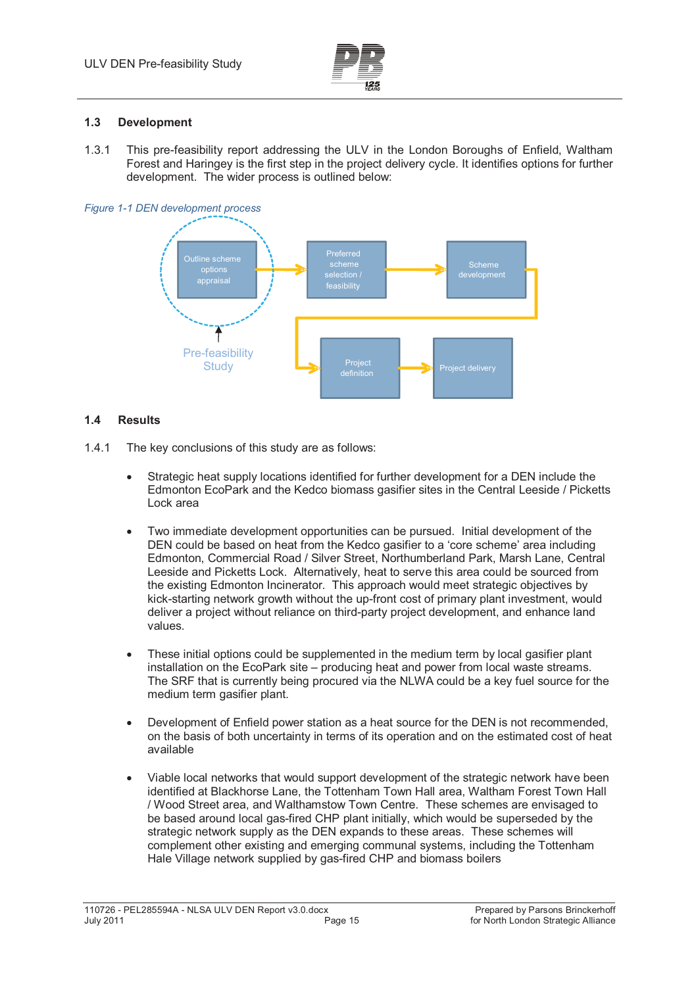

## **1.3 Development**

1.3.1 This pre-feasibility report addressing the ULV in the London Boroughs of Enfield, Waltham Forest and Haringey is the first step in the project delivery cycle. It identifies options for further development. The wider process is outlined below:





# **1.4 Results**

- 1.4.1 The key conclusions of this study are as follows:
	- - Strategic heat supply locations identified for further development for a DEN include the Edmonton EcoPark and the Kedco biomass gasifier sites in the Central Leeside / Picketts Lock area
	- $\bullet$  Two immediate development opportunities can be pursued. Initial development of the DEN could be based on heat from the Kedco gasifier to a 'core scheme' area including Edmonton, Commercial Road / Silver Street, Northumberland Park, Marsh Lane, Central Leeside and Picketts Lock. Alternatively, heat to serve this area could be sourced from the existing Edmonton Incinerator. This approach would meet strategic objectives by kick-starting network growth without the up-front cost of primary plant investment, would deliver a project without reliance on third-party project development, and enhance land values.
	- - These initial options could be supplemented in the medium term by local gasifier plant installation on the EcoPark site – producing heat and power from local waste streams. The SRF that is currently being procured via the NLWA could be a key fuel source for the medium term gasifier plant.
	- - Development of Enfield power station as a heat source for the DEN is not recommended, on the basis of both uncertainty in terms of its operation and on the estimated cost of heat available
	- - Viable local networks that would support development of the strategic network have been identified at Blackhorse Lane, the Tottenham Town Hall area, Waltham Forest Town Hall / Wood Street area, and Walthamstow Town Centre. These schemes are envisaged to be based around local gas-fired CHP plant initially, which would be superseded by the strategic network supply as the DEN expands to these areas. These schemes will complement other existing and emerging communal systems, including the Tottenham Hale Village network supplied by gas-fired CHP and biomass boilers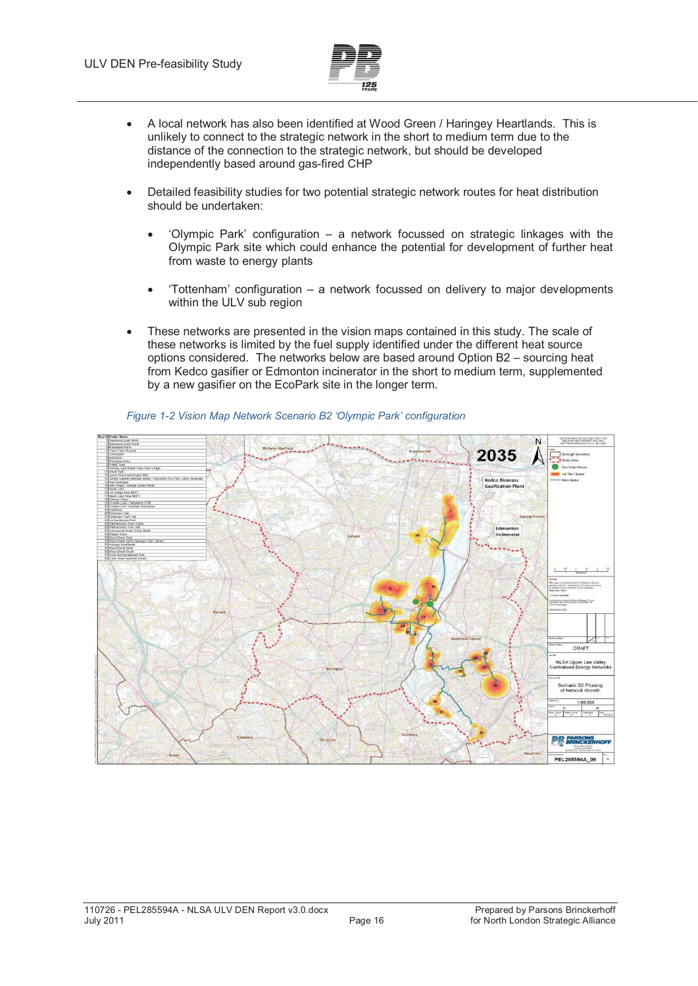

- - A local network has also been identified at Wood Green / Haringey Heartlands. This is unlikely to connect to the strategic network in the short to medium term due to the distance of the connection to the strategic network, but should be developed independently based around gas-fired CHP
- - Detailed feasibility studies for two potential strategic network routes for heat distribution should be undertaken:
	- - 'Olympic Park' configuration – a network focussed on strategic linkages with the Olympic Park site which could enhance the potential for development of further heat from waste to energy plants
	- - 'Tottenham' configuration – a network focussed on delivery to major developments within the ULV sub region
- - These networks are presented in the vision maps contained in this study. The scale of these networks is limited by the fuel supply identified under the different heat source options considered. The networks below are based around Option B2 – sourcing heat from Kedco gasifier or Edmonton incinerator in the short to medium term, supplemented by a new gasifier on the EcoPark site in the longer term.



#### *Figure 1-2 Vision Map Network Scenario B2 'Olympic Park' configuration*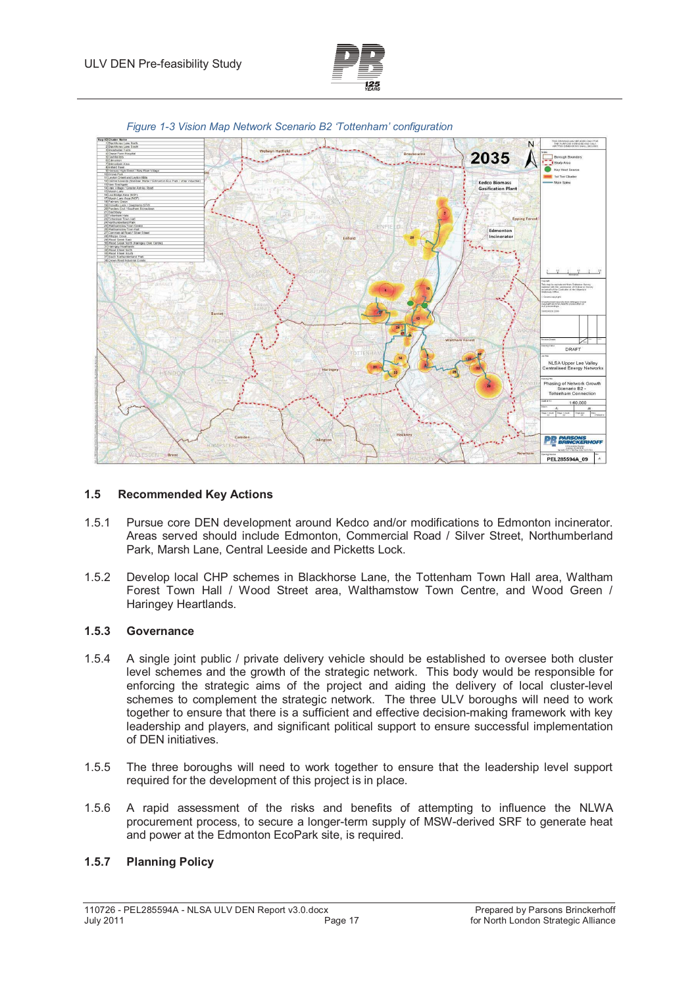



*Figure 1-3 Vision Map Network Scenario B2 'Tottenham' configuration* 

#### **1.5 Recommended Key Actions**

- 1.5.1 Pursue core DEN development around Kedco and/or modifications to Edmonton incinerator. Areas served should include Edmonton, Commercial Road / Silver Street, Northumberland Park, Marsh Lane, Central Leeside and Picketts Lock.
- 1.5.2 Develop local CHP schemes in Blackhorse Lane, the Tottenham Town Hall area, Waltham Forest Town Hall / Wood Street area, Walthamstow Town Centre, and Wood Green / Haringey Heartlands.

#### **1.5.3 Governance**

- 1.5.4 A single joint public / private delivery vehicle should be established to oversee both cluster level schemes and the growth of the strategic network. This body would be responsible for enforcing the strategic aims of the project and aiding the delivery of local cluster-level schemes to complement the strategic network. The three ULV boroughs will need to work together to ensure that there is a sufficient and effective decision-making framework with key leadership and players, and significant political support to ensure successful implementation of DEN initiatives.
- 1.5.5 The three boroughs will need to work together to ensure that the leadership level support required for the development of this project is in place.
- 1.5.6 A rapid assessment of the risks and benefits of attempting to influence the NLWA procurement process, to secure a longer-term supply of MSW-derived SRF to generate heat and power at the Edmonton EcoPark site, is required.

#### **1.5.7 Planning Policy**